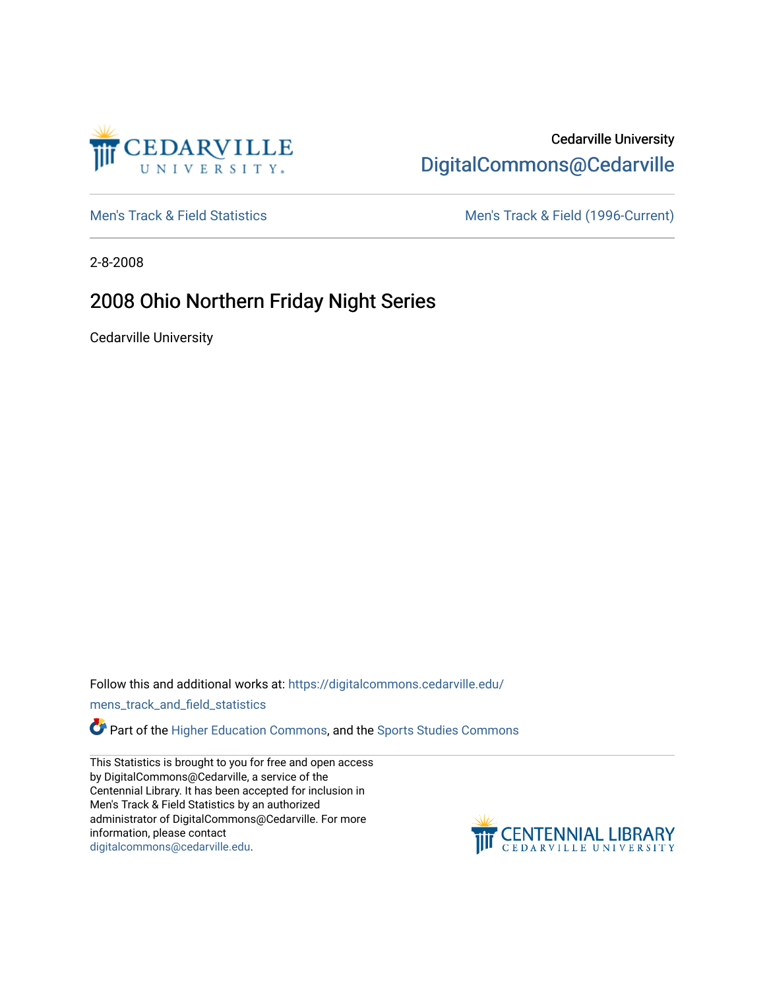

# Cedarville University [DigitalCommons@Cedarville](https://digitalcommons.cedarville.edu/)

[Men's Track & Field Statistics](https://digitalcommons.cedarville.edu/mens_track_and_field_statistics) [Men's Track & Field \(1996-Current\)](https://digitalcommons.cedarville.edu/mens_track_and_field) 

2-8-2008

# 2008 Ohio Northern Friday Night Series

Cedarville University

Follow this and additional works at: [https://digitalcommons.cedarville.edu/](https://digitalcommons.cedarville.edu/mens_track_and_field_statistics?utm_source=digitalcommons.cedarville.edu%2Fmens_track_and_field_statistics%2F186&utm_medium=PDF&utm_campaign=PDFCoverPages)

[mens\\_track\\_and\\_field\\_statistics](https://digitalcommons.cedarville.edu/mens_track_and_field_statistics?utm_source=digitalcommons.cedarville.edu%2Fmens_track_and_field_statistics%2F186&utm_medium=PDF&utm_campaign=PDFCoverPages)

**Part of the [Higher Education Commons,](http://network.bepress.com/hgg/discipline/1245?utm_source=digitalcommons.cedarville.edu%2Fmens_track_and_field_statistics%2F186&utm_medium=PDF&utm_campaign=PDFCoverPages) and the Sports Studies Commons** 

This Statistics is brought to you for free and open access by DigitalCommons@Cedarville, a service of the Centennial Library. It has been accepted for inclusion in Men's Track & Field Statistics by an authorized administrator of DigitalCommons@Cedarville. For more information, please contact [digitalcommons@cedarville.edu](mailto:digitalcommons@cedarville.edu).

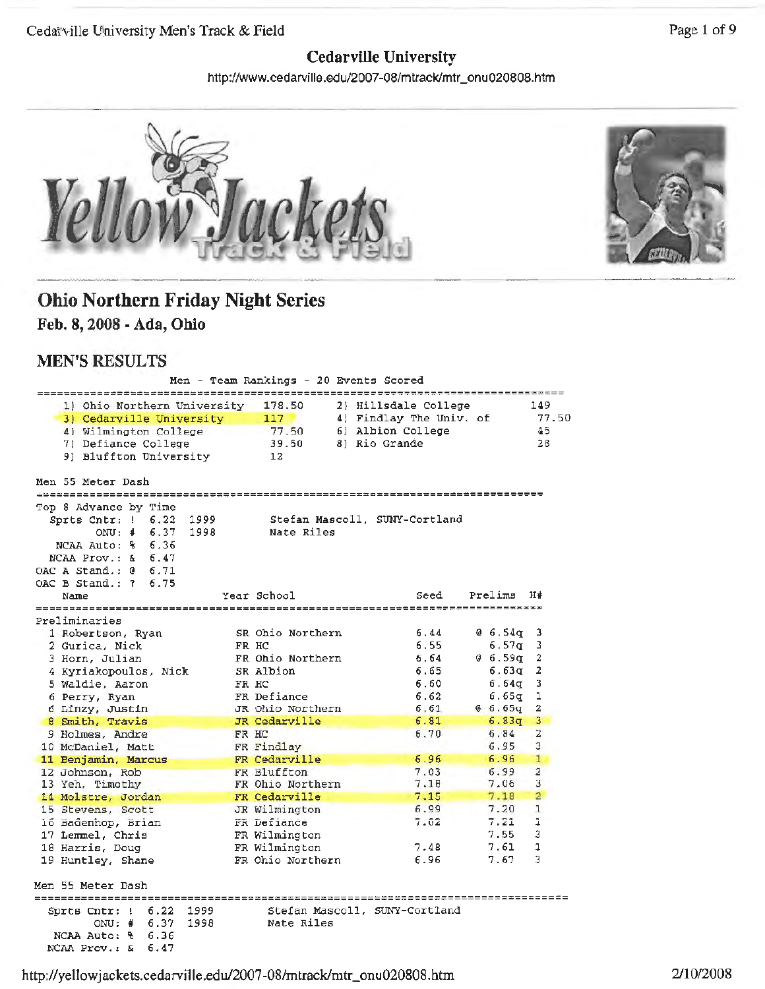## **Cedarville University**

http://www.cedarville.edu/2007-08/mtrack/mtr\_onu020808.htm



## **Ohio Northern Friday Night Series Feb. 8, 2008 - Ada, Ohio**

### **MEN'S RESULTS**

|                                                                                                         | Men - Team Rankings - 20 Events Scored      |  |                   |                           |         |         |                |
|---------------------------------------------------------------------------------------------------------|---------------------------------------------|--|-------------------|---------------------------|---------|---------|----------------|
| 1) Ohio Northern University                                                                             | 178.50                                      |  |                   | 2) Hillsdale College      |         |         | 149            |
| 3) Cedarville University                                                                                | 117                                         |  |                   | 4) Findlay The Univ. of   |         |         | 77.50          |
| 4) Wilmington College                                                                                   | 77.50                                       |  | 6) Albion College |                           |         |         | 45             |
| 7) Defiance College                                                                                     | 39.50                                       |  | 8) Rio Grande     |                           |         |         | 28             |
| 9) Bluffton University                                                                                  | 12                                          |  |                   |                           |         |         |                |
| Men 55 Meter Dash                                                                                       |                                             |  |                   |                           |         |         |                |
| Top 8 Advance by Time                                                                                   |                                             |  |                   |                           |         |         |                |
| Sprts Cntr: $1 \t 6.22$<br>1999                                                                         | Stefan Mascoll, SUNY-Cortland               |  |                   |                           |         |         |                |
| 6.37<br>$ONU:$ #<br>1998                                                                                | Nate Riles                                  |  |                   |                           |         |         |                |
| NCAA Auto: % 6.36                                                                                       |                                             |  |                   |                           |         |         |                |
| NCAA Prov.: $\& 6.47$                                                                                   |                                             |  |                   |                           |         |         |                |
| OAC A Stand.: $0 \quad 6.71$                                                                            |                                             |  |                   |                           |         |         |                |
| OAC B Stand.: 7 6.75                                                                                    |                                             |  |                   |                           |         |         |                |
| Name                                                                                                    | Year School                                 |  |                   | Seed                      | Prelims |         | H#             |
| ===================<br>Preliminaries                                                                    |                                             |  |                   | ========================= |         |         |                |
| 1 Robertson, Ryan                                                                                       | SR Ohio Northern                            |  |                   | 6,44                      |         | 0 6.54q | з              |
| 2 Gurica, Nick                                                                                          | FR HC                                       |  |                   | 6.55                      |         | 6.57q   | 3              |
| 3 Horn, Julian                                                                                          | FR Ohio Northern                            |  |                   | 6.64                      |         | ⊈ 6.59q | 2              |
| 4 Kyriakopoulos, Nick                                                                                   | SR Albion                                   |  |                   | 6.65                      |         | 6.63a   | 2              |
| 5 Waldie, Aaron                                                                                         | FR HC                                       |  |                   | 6.60                      |         | 6.64σ   | 3              |
| 6 Perry, Ryan                                                                                           | FR Defiance                                 |  |                   | 6.62                      |         | 6.65σ   | ı              |
| 6 Linzy, Justin                                                                                         | JR Ohio Northern                            |  |                   | 6.61                      |         | 6.65q   | 2              |
| 8 Smith, Travis                                                                                         | JR Cedarville                               |  |                   | 6.81                      |         | 6.83q   | 3              |
| 9 Holmes, Andre                                                                                         | FR HC                                       |  |                   | 6,70                      |         | 6.84    | $\overline{2}$ |
| 10 McDaniel, Matt                                                                                       | FR Findlay                                  |  |                   |                           |         | 6.95    | 3              |
| 11 Benjamin, Marcus                                                                                     | FR Cedarville                               |  |                   | 6.96                      |         | 6.96    | 1              |
| 12 Johnson, Rob                                                                                         | FR Bluffton                                 |  |                   | 7.03                      |         | 6.99    | 2              |
| 13 Yeh, Timothy                                                                                         | FR Ohio Northern                            |  |                   | 7.18                      |         | 7.06    | 3              |
| 14 Molstre, Jordan                                                                                      | FR Cedarville                               |  |                   | 7,15                      |         | 7.18    | $\overline{a}$ |
| 15 Stevens, Scott                                                                                       | JR Wilmington                               |  |                   | 6.99                      |         | 7.20    | ı              |
| 16 Badenhop, Brian                                                                                      | FR Defiance                                 |  |                   | 7.02                      |         | 7.21    | 1              |
| 17 Lemmel, Chris                                                                                        | FR Wilmington                               |  |                   |                           |         | 7.55    | 3              |
| 18 Harris, Doug                                                                                         | FR Wilmington                               |  |                   | 7.48                      |         | 7.61    | 1              |
| 19 Huntley, Shane                                                                                       | FR Ohio Northern                            |  |                   | 6.96                      |         | 7.67    | 3              |
| Men 55 Meter Dash                                                                                       |                                             |  |                   |                           |         |         |                |
|                                                                                                         |                                             |  | ============      |                           |         |         |                |
| 6.22<br>1999<br>Sprts Cntr: !<br>6.37<br>1998<br>ONU:#<br>6.36<br>NCAA Auto: %<br>NCAA Prov.: &<br>6.47 | Stefan Mascoll, SUNY-Cortland<br>Nate Riles |  |                   |                           |         |         |                |

Page **1** of 9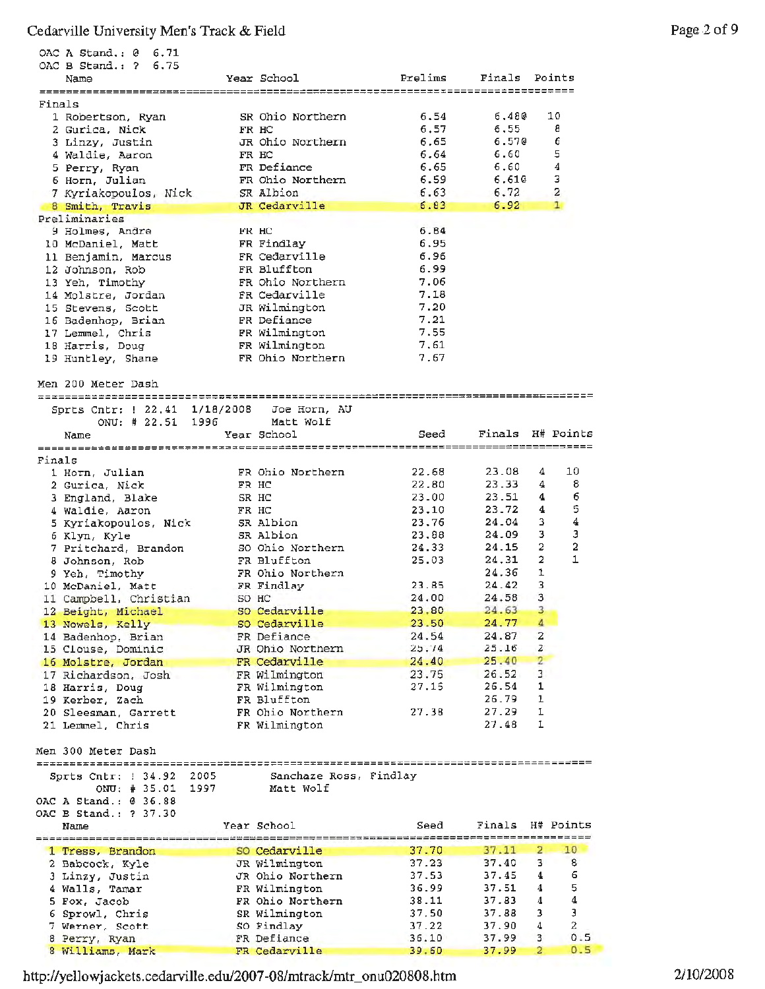|        | OAC A Stand.: 0<br>6.71                 |       |                                 |                  |                  |                         |                  |
|--------|-----------------------------------------|-------|---------------------------------|------------------|------------------|-------------------------|------------------|
|        | OAC B Stand.: ?<br>6.75                 |       |                                 |                  |                  |                         |                  |
|        | Name                                    |       | Year School                     | Prelims          | Finals           | Points                  |                  |
| Finals |                                         |       |                                 |                  |                  |                         |                  |
|        | 1 Robertson, Ryan                       |       | SR Ohio Northern                | 6.54             | 6,480            | 10                      |                  |
|        | 2 Gurica, Nick                          |       | FR HC                           | 6.57             | 6.55             | 8                       |                  |
|        | 3 Linzy, Justin                         |       | JR Ohio Northern                | 6.65             | 6.570            | 6                       |                  |
|        | 4 Waldie, Aaron                         | FR HC |                                 | 6.64             | 6.60             | 5                       |                  |
|        | 5 Perry, Ryan                           |       | FR Defiance                     | 6.65             | 6.60             | $\boldsymbol{4}$        |                  |
|        | 6 Horn, Julian                          |       | FR Ohio Northern                | 6.59             | 6.610            | з                       |                  |
|        | 7 Kyriakopoulos, Nick                   |       | SR Albion                       | 6.63             | 6.72             | 2                       |                  |
|        | 8 Smith, Travis                         |       | JR Cedarville                   | 6.83             | 6.92             | 1                       |                  |
|        | Preliminaries                           |       |                                 |                  |                  |                         |                  |
|        | 9 Holmes, Andre                         | FR HC |                                 | 6.84             |                  |                         |                  |
|        | 10 McDaniel, Matt                       |       | FR Findlay                      | 6.95             |                  |                         |                  |
|        | 11 Benjamin, Marcus                     |       | FR Cedarville                   | 6.96             |                  |                         |                  |
|        | 12 Johnson, Rob                         |       | FR Bluffton                     | 6.99             |                  |                         |                  |
|        | 13 Yeh, Timothy                         |       | FR Ohio Northern                | 7.06<br>7.18     |                  |                         |                  |
|        | 14 Molstre, Jordan<br>15 Stevens, Scott |       | FR Cedarville<br>JR Wilmington  | 7.20             |                  |                         |                  |
|        | 16 Badenhop, Brian                      |       | FR Defiance                     | 7.21             |                  |                         |                  |
|        | 17 Lemmel, Chris                        |       | FR Wilmington                   | 7.55             |                  |                         |                  |
|        | 18 Harris, Doug                         |       | FR Wilmington                   | 7,61             |                  |                         |                  |
|        | 19 Huntley, Shane                       |       | FR Ohio Northern                | 7.67             |                  |                         |                  |
|        |                                         |       |                                 |                  |                  |                         |                  |
|        | Men 200 Meter Dash                      |       |                                 |                  |                  |                         |                  |
|        |                                         |       |                                 |                  |                  |                         |                  |
|        | Sprts Cntr: ! 22.41 1/18/2008           |       | Joe Horn, AU                    |                  |                  |                         |                  |
|        | ONU: # 22.51 1996                       |       | Matt Wolf                       |                  |                  |                         |                  |
|        | Name                                    |       | Year School                     | Seed             | Finals H# Points |                         |                  |
|        |                                         |       |                                 |                  |                  |                         |                  |
| Finals |                                         |       |                                 |                  |                  |                         |                  |
|        | 1 Horn, Julian                          |       | FR Ohio Northern                | 22.68            | 23.08            | 10<br>4                 |                  |
|        | 2 Gurica, Nick                          | FR HC |                                 | 22.80            | 23.33            | 4                       | 8                |
|        | 3 England, Blake                        | SR HC |                                 | 23.00            | 23.51            | 4                       | 6                |
|        | 4 Waldie, Aaron                         | FR HC |                                 | 23.10            | 23.72            | 4                       | 5                |
|        | 5 Kyriakopoulos, Nick                   |       | SR Albion                       | 23.76            | 24.04            | 3<br>3                  | 4<br>Э           |
|        | 6 Klyn, Kyle                            |       | SR Albion                       | 23.88<br>24.33   | 24.09<br>24.15   | 2                       | 2                |
|        | 7 Pritchard, Brandon                    |       | SO Ohio Northern<br>FR Bluffton | 25.03            | 24.31            | 2                       | 1                |
|        | 8 Johnson, Rob<br>9 Yeh, Timothy        |       | FR Ohio Northern                |                  | 24.36            | 1                       |                  |
|        | 10 McDaniel, Matt                       |       | FR Findlay                      | 23.85            | 24.42            | 3                       |                  |
|        | 11 Campbell, Christian                  | SO HC |                                 | 24.00            | 24.58            | 3                       |                  |
|        | 12 Beight, Michael                      |       | SO Cedarville                   | 23.80            | 24.63            | 3                       |                  |
|        | 13 Nowels, Kelly                        |       | SO Cedarville                   | 23.50            | 24.77            | 4                       |                  |
|        | 14 Badenhop, Brian                      |       | FR Defiance                     | 24.54            | 24.87            | $\overline{\mathbf{z}}$ |                  |
|        | 15 Clouse, Dominic                      |       | JR Ohio Northern                | 25.74            | 25.16            | 2                       |                  |
|        | 16 Molstre, Jordan                      |       | FR Cedarville                   | 24.40            | 25.40            | $\overline{2}$          |                  |
|        | 17 Richardson, Josh                     |       | FR Wilmington                   | 23.75            | 26.52            | 3                       |                  |
|        | 18 Harris, Doug                         |       | FR Wilmington                   | 27.15            | 26.54            | 1                       |                  |
|        | 19 Kerber, Zach                         |       | FR Bluffton                     |                  | 26.79            | 1                       |                  |
|        | 20 Sleesman, Garrett                    |       | FR Ohio Northern                | 27.38            | 27.29            | 1                       |                  |
|        | 21 Lemmel, Chris                        |       | FR Wilmington                   |                  | 27.48            | 1                       |                  |
|        |                                         |       |                                 |                  |                  |                         |                  |
|        | Men 300 Meter Dash                      |       |                                 |                  |                  |                         |                  |
|        |                                         |       |                                 |                  |                  |                         |                  |
|        | Sprts Cntr: 1 34.92                     | 2005  | Sanchaze Ross, Findlay          |                  |                  |                         |                  |
|        | ONU: # 35.01                            | 1997  | Matt Wolf                       |                  |                  |                         |                  |
|        | OAC A Stand.: @ 36.88                   |       |                                 |                  |                  |                         |                  |
|        | OAC B Stand.: ? 37.30                   |       |                                 |                  |                  |                         |                  |
|        | Name                                    |       | Year School                     | Seed<br>-------- | Finals           | H# Points<br>========== |                  |
|        |                                         |       | SO Cedarville                   | 37.70            | 37.11            | 10<br>2                 |                  |
|        | 1 Tress, Brandon<br>2 Babcock, Kyle     |       | JR Wilmington                   | 37.23            | 37.40            | з                       | 8                |
|        | 3 Linzy, Justin                         |       | JR Ohio Northern                | 37.53            | 37.45            | 4                       | 6                |
|        | 4 Walls, Tamar                          |       | FR Wilmington                   | 36.99            | 37.51            | 4                       | 5                |
|        | 5 Fox, Jacob                            |       | FR Ohio Northern                | 38.11            | 37.83            | 4                       | $\boldsymbol{4}$ |
|        | 6 Sprowl, Chris                         |       | SR Wilmington                   | 37.50            | 37.88            | з                       | з                |
|        | 7 Werner, Scott                         |       | SO Findlay                      | 37.22            | 37.90            | 4                       | 2                |
|        | 8 Perry, Ryan                           |       | FR Defiance                     | 36.10            | 37.99            | 3                       | 0.5              |
|        |                                         |       |                                 | 39.60            | 37.99            | $\overline{2}$          | 0.5              |

http://yellowjackets.cedarville.edu/2007-08/mtrack/mtr\_onu020808.htm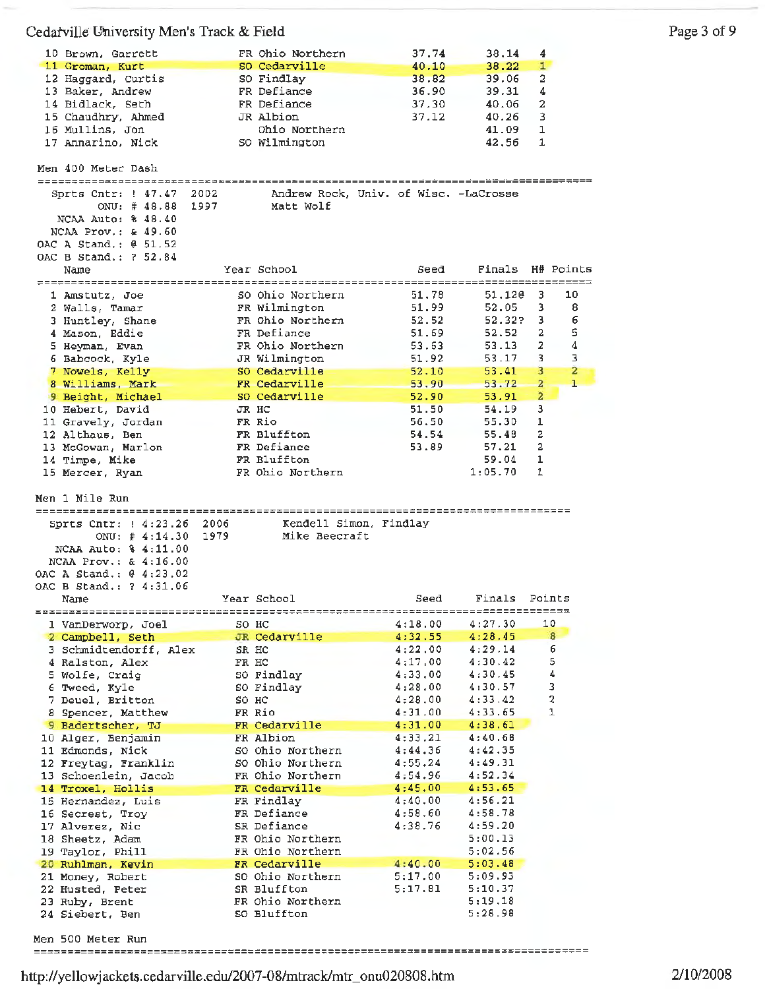| 10 Brown, Garrett                              |       | FR Ohio Northern                | 37.74                                 | 38,14              | 4                       |                                  |
|------------------------------------------------|-------|---------------------------------|---------------------------------------|--------------------|-------------------------|----------------------------------|
| 11 Groman, Kurt                                |       | SO Cedarville                   | 40.10                                 | 38.22              | $\mathbf{1}$            |                                  |
| 12 Haggard, Curtis                             |       | SO Findlay                      | 38.82                                 | 39.06              | 2                       |                                  |
| 13 Baker, Andrew                               |       | FR Defiance                     | 36.90                                 | 39.31              | 4                       |                                  |
| 14 Bidlack, Seth                               |       | FR Defiance                     | 37.30                                 | 40.06              | 2                       |                                  |
| 15 Chaudhry, Ahmed                             |       | JR Albion                       | 37.12                                 | 40.26              | 3                       |                                  |
| 16 Mullins, Jon                                |       | Ohio Northern                   |                                       | 41.09              | 1                       |                                  |
| 17 Annarino, Nick                              |       | SO Wilmington                   |                                       | 42,56              | 1                       |                                  |
| Men 400 Meter Dash                             |       |                                 |                                       |                    |                         |                                  |
|                                                |       |                                 |                                       |                    |                         |                                  |
| Sprts Cntr: ! 47.47                            | 2002  |                                 | Andrew Rock, Univ. of Wisc, -LaCrosse |                    |                         |                                  |
| ONU: $# 48.88$                                 | 1997  | Matt Wolf                       |                                       |                    |                         |                                  |
| NCAA Auto: % 48.40<br>NCAA Prov.: & 49.60      |       |                                 |                                       |                    |                         |                                  |
| OAC A Stand.: @ 51.52                          |       |                                 |                                       |                    |                         |                                  |
| OAC B Stand.: ? 52.84                          |       |                                 |                                       |                    |                         |                                  |
| Name                                           |       | Year School                     | Seed                                  | Finals             |                         | H# Points                        |
|                                                |       |                                 | =======                               |                    |                         | ================                 |
| 1 Amstutz, Joe                                 |       | SO Ohio Northern                | 51.78                                 | 51.120             | з                       | 10                               |
| 2 Walls, Tamar                                 |       | FR Wilmington                   | 51.99                                 | 52.05              | з                       | 8                                |
| 3 Huntley, Shane                               |       | FR Ohio Northern                | 52.52                                 | 52.32?             | з                       | 6                                |
| 4 Mason, Eddie                                 |       | FR Defiance                     | 51.69                                 | 52.52              | 2                       | 5                                |
| 5 Heyman, Evan                                 |       | FR Ohio Northern                | 53.63                                 | 53.13              | 2                       | 4                                |
| 6 Babcock, Kyle                                |       | JR Wilmington                   | 51.92                                 | 53.17              | 3                       | 3                                |
| 7 Nowels, Kelly                                |       | SO Cedarville                   | 52.10                                 | 53.41              | 3                       | $\overline{a}$                   |
| 8 Williams, Mark                               |       | FR Cedarville                   | 53.90                                 | 53.72              | $\overline{a}$          | 1                                |
| 9 Beight, Michael                              |       | SO Cedarville                   | 52.90                                 | 53.91              | $\overline{\mathbf{2}}$ |                                  |
| 10 Hebert, David                               | JR HC |                                 | 51.50                                 | 54.19              | з                       |                                  |
| 11 Gravely, Jordan                             |       | FR Rio                          | 56.50                                 | 55.30              | 1                       |                                  |
| 12 Althaus, Ben                                |       | FR Bluffton<br>FR Defiance      | 54.54<br>53.89                        | 55.48<br>57.21     | 2<br>2                  |                                  |
| 13 McGowan, Marlon<br>14 Timpe, Mike           |       | FR Bluffton                     |                                       | 59.04              | 1                       |                                  |
| 15 Mercer, Ryan                                |       | FR Ohio Northern                |                                       | 1:05.70            | 1                       |                                  |
|                                                |       |                                 |                                       |                    |                         |                                  |
|                                                |       |                                 |                                       |                    |                         |                                  |
|                                                |       |                                 |                                       |                    |                         |                                  |
| Men 1 Mile Run<br>============================ |       |                                 |                                       |                    |                         |                                  |
| Sprts Cntr: ! 4:23.26                          | 2006  |                                 | Kendell Simon, Findlay                |                    |                         |                                  |
| ONU: $\#$ 4:14.30                              | 1979  | Mike Beecraft                   |                                       |                    |                         |                                  |
| NCAA Auto: % 4:11.00                           |       |                                 |                                       |                    |                         |                                  |
| NCAA Prov.: $\alpha$ 4:16.00                   |       |                                 |                                       |                    |                         |                                  |
| OAC A Stand.: 0 4:23.02                        |       |                                 |                                       |                    |                         |                                  |
| OAC B Stand.: ? 4:31.06                        |       |                                 |                                       |                    |                         |                                  |
| Name                                           |       | Year School                     | Seed                                  | Finals             | Points                  |                                  |
|                                                |       |                                 |                                       | ================   |                         |                                  |
| 1 VanDerworp, Joel                             | SO HC |                                 | 4:18.00                               | 4:27.30            |                         | 10                               |
| 2 Campbell, Seth                               |       | JR Cedarville                   | 4:32.55                               | 4:28.45            |                         | 8                                |
| 3 Schmidtendorff, Alex                         | SR HC |                                 | 4:22.00                               | 4:29.14            |                         | 6                                |
| 4 Ralston, Alex                                | FR HC |                                 | 4:17.00                               | 4:30.42            |                         | 5                                |
| 5 Wolfe, Craig                                 |       | SO Findlay                      | 4:33.00                               | 4:30.45            |                         | $\pmb{4}$                        |
| 6 Tweed, Kyle                                  |       | SO Findlay                      | 4:28.00                               | 4:30.57            |                         | 3                                |
| 7 Deuel, Britton<br>8 Spencer, Matthew         | SO HC | FR Rio                          | 4:28.00<br>4:31.00                    | 4:33.42<br>4:33.65 |                         | $\boldsymbol{2}$<br>$\mathbf{1}$ |
|                                                |       | FR Cedarville                   | 4:31.00                               | 4:38.61            |                         |                                  |
| 9 Badertscher, TJ<br>10 Alger, Benjamin        |       | FR Albion                       | 4:33.21                               | 4:40.68            |                         |                                  |
| 11 Edmonds, Nick                               |       | SO Ohio Northern                | 4:44.36                               | 4:42.35            |                         |                                  |
| 12 Freytag, Franklin                           |       | SO Ohio Northern                | 4:55.24                               | 4:49.31            |                         |                                  |
| 13 Schoenlein, Jacob                           |       | FR Ohio Northern                | 4:54.96                               | 4:52.34            |                         |                                  |
| 14 Troxel, Hollis                              |       | FR Cedarville                   | 4:45.00                               | 4:53.65            |                         |                                  |
| 15 Hernandez, Luis                             |       | FR Findlay                      | 4:40.00                               | 4:56.21            |                         |                                  |
| 16 Secrest, Troy                               |       | FR Defiance                     | 4:58.60                               | 4:58.78            |                         |                                  |
| 17 Alverez, Nic                                |       | SR Defiance                     | 4:38.76                               | 4:59.20            |                         |                                  |
| 18 Sheetz, Adam                                |       | FR Ohio Northern                |                                       | 5:00.13            |                         |                                  |
| 19 Taylor, Phill                               |       | FR Ohio Northern                |                                       | 5:02.56            |                         |                                  |
| 20 Ruhlman, Kevin                              |       | FR Cedarville                   | 4:40.00                               | 5:03.48            |                         |                                  |
| 21 Money, Robert                               |       | SO Ohio Northern                | 5:17.00                               | 5:09.93            |                         |                                  |
| 22 Husted, Peter                               |       | SR Bluffton                     | 5:17.81                               | 5:10.37            |                         |                                  |
| 23 Ruby, Brent<br>24 Siebert, Ben              |       | FR Ohio Northern<br>SO Bluffton |                                       | 5:19.18<br>5:28.98 |                         |                                  |
|                                                |       |                                 |                                       |                    |                         |                                  |

Men 500 Meter Run 

http://yellowjackets.cedarville.edu/2007-08/mtrack/mtr\_onu020808.htm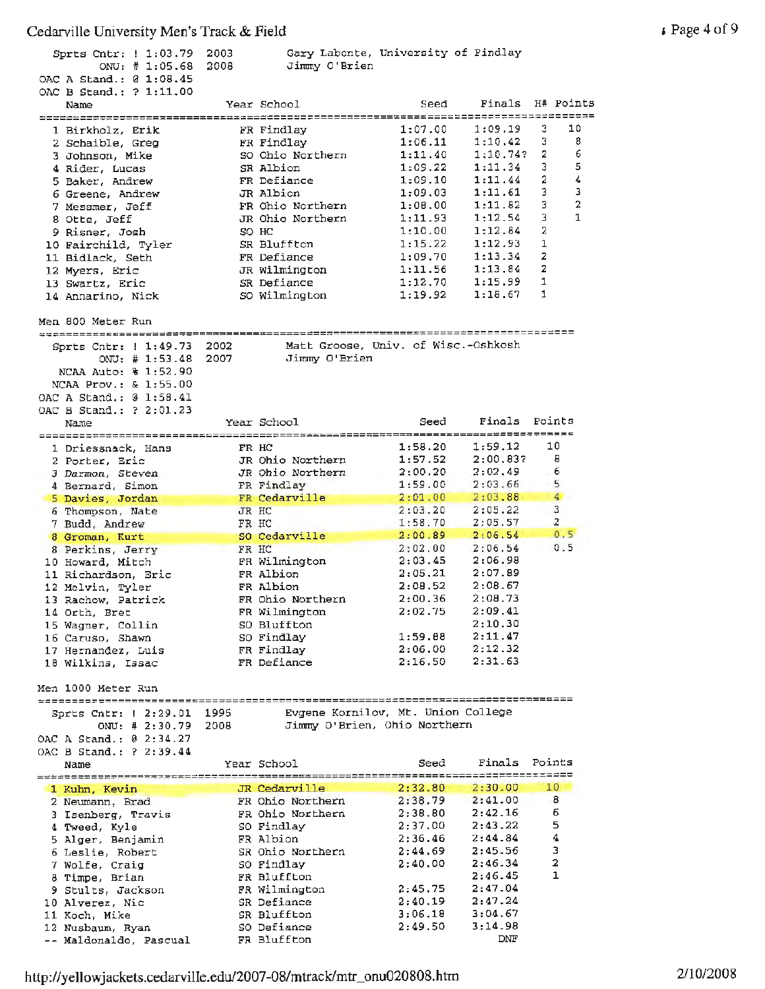| Sprts Cntr:   1:03.79<br>ONU: $\#$ 1:05.68<br>OAC A Stand.: 0 1:08.45 | 2003<br>2008 | Jimmy O'Brien                                        | Gary Labonte, University of Findlay |          |                              |
|-----------------------------------------------------------------------|--------------|------------------------------------------------------|-------------------------------------|----------|------------------------------|
| OAC B Stand.: ? 1:11.00<br>Name                                       |              | Year School                                          | Seed                                | Finals   | H# Points                    |
| 1 Birkholz, Erik                                                      |              | FR Findlay                                           | 1:07.00                             | 1:09.19  | 10<br>3                      |
| 2 Schaible, Greg                                                      |              | FR Findlay                                           | 1:06.11                             | 1:10.42  | 3<br>8                       |
| 3 Johnson, Mike                                                       |              | SO Ohio Northern                                     | 1:11.40                             | 1:10.74? | 6<br>2                       |
| 4 Rider, Lucas                                                        |              | SR Albion                                            | 1:09.22                             | 1:11.34  | 5<br>3                       |
| 5 Baker, Andrew                                                       |              | FR Defiance                                          | 1:09.10                             | 1:11.44  | 4<br>2                       |
| 6 Greene, Andrew                                                      |              | JR Albion                                            | 1:09.03                             | 1:11.61  | 3<br>3                       |
|                                                                       |              | FR Ohio Northern                                     | 1:08.00                             | 1:11.82  | $\overline{\mathbf{2}}$<br>3 |
| 7 Messmer, Jeff                                                       |              | JR Ohio Northern                                     | 1:11.93                             | 1:12.54  | 1<br>3                       |
| 8 Otte, Jeff                                                          |              | SO HC                                                | 1:10.00                             | 1:12.84  | 2                            |
| 9 Risner, Josh                                                        |              |                                                      | 1:15.22                             | 1:12.93  | ı                            |
| 10 Fairchild, Tyler                                                   |              | SR Bluffton                                          | 1:09.70                             | 1:13.34  | 2                            |
| 11 Bidlack, Seth                                                      |              | FR Defiance                                          |                                     |          | 2                            |
| 12 Myers, Eric                                                        |              | JR Wilmington                                        | 1:11.56                             | 1:13.84  | 1                            |
| 13 Swartz, Eric                                                       |              | SR Defiance                                          | 1:12.70                             | 1:15.99  | 1                            |
| 14 Annarino, Nick                                                     |              | SO Wilmington                                        | 1:19.92                             | 1:18.67  |                              |
| Men 800 Meter Run                                                     |              |                                                      |                                     |          |                              |
|                                                                       |              |                                                      |                                     |          |                              |
| Sprts Cntr:   1:49.73                                                 | 2002         | Matt Groose, Univ. of Wisc.-Oshkosh<br>Jimmy O'Brien |                                     |          |                              |
| ONU: # 1:53.48                                                        | 2007         |                                                      |                                     |          |                              |
| NCAA Auto: % 1:52.90                                                  |              |                                                      |                                     |          |                              |
| NCAA Prov.: & 1:55.00                                                 |              |                                                      |                                     |          |                              |
| OAC A Stand.: @ 1:58.41                                               |              |                                                      |                                     |          |                              |
| OAC B Stand.: ? 2:01.23                                               |              | Year School                                          | Seed                                | Finals   | Points                       |
| Name                                                                  |              |                                                      |                                     |          |                              |
| 1 Driessnack, Hans                                                    |              | FR HC                                                | 1:58.20                             | 1:59.12  | 10                           |
| 2 Porter, Eric                                                        |              | JR Ohio Northern                                     | 1:57.52                             | 2:00.83? | 8                            |
| 3 Darmon, Steven                                                      |              | JR Ohio Northern                                     | 2:00.20                             | 2:02.49  | 6                            |
| 4 Bernard, Simon                                                      |              | FR Findlay                                           | 1:59.00                             | 2:03.66  | 5                            |
| 5 Davies, Jordan                                                      |              | FR Cedarville                                        | 2:01.00                             | 2:03.88  | $\overline{4}$               |
| 6 Thompson, Nate                                                      |              | JR HC                                                | 2:03.20                             | 2:05.22  | 3                            |
| 7 Budd, Andrew                                                        |              | FR HC                                                | 1:58.70                             | 2:05.57  | $\overline{a}$               |
| 8 Groman, Kurt                                                        |              | SO Cedarville                                        | 2:00.89                             | 2:06.54  | 0.5                          |
| 8 Perkins, Jerry                                                      |              | FR HC                                                | 2:02.00                             | 2:06.54  | 0.5                          |
| 10 Howard, Mitch                                                      |              | FR Wilmington                                        | 2:03.45                             | 2:06.98  |                              |
| 11 Richardson, Eric                                                   |              | FR Albion                                            | 2:05.21                             | 2:07.89  |                              |
| 12 Melvin, Tyler                                                      |              | FR Albion                                            | 2:08.52                             | 2:08.67  |                              |
| 13 Rachow, Patrick                                                    |              | FR Ohio Northern                                     | 2:00.36                             | 2:08.73  |                              |
| 14 Orth, Bret                                                         |              | FR Wilmington                                        | 2:02.75                             | 2:09.41  |                              |
| 15 Wagner, Collin                                                     |              | SO Bluffton                                          |                                     | 2:10.30  |                              |
| 16 Caruso, Shawn                                                      |              | SO Findlay                                           | 1:59.88                             | 2:11.47  |                              |
| 17 Hernandez, Luis                                                    |              | FR Findlay                                           | 2:06.00                             | 2:12.32  |                              |
| 18 Wilkins, Issac                                                     |              | FR Defiance                                          | 2:16.50                             | 2:31.63  |                              |
|                                                                       |              |                                                      |                                     |          |                              |
| Men 1000 Meter Run                                                    |              |                                                      |                                     |          |                              |
|                                                                       |              |                                                      |                                     |          |                              |
| Sprts Cntr: ! 2:29.01 1995                                            |              | Evgene Kornilov, Mt. Union College                   |                                     |          |                              |
| ONU: 42:30.79                                                         | 2008         | Jimmy O'Brien, Ohio Northern                         |                                     |          |                              |
| OAC A Stand.: 0 2:34.27                                               |              |                                                      |                                     |          |                              |
| OAC B Stand.: ? 2:39.44                                               |              |                                                      |                                     |          |                              |
| Name                                                                  |              | Year School                                          | Seed                                | Finals   | Points                       |
|                                                                       |              | JR Cedarville                                        | 2:32.80                             | 2:30.00  | 10                           |
| 1 Kuhn, Kevin<br>2 Neumann, Brad                                      |              | FR Ohio Northern                                     | 2:38.79                             | 2:41.00  | 8                            |
| 3 Isenberg, Travis                                                    |              | FR Ohio Northern                                     | 2:38.80                             | 2:42.16  | 6                            |
| 4 Tweed, Kyle                                                         |              | SO Findlay                                           | 2:37.00                             | 2:43.22  | 5                            |
| 5 Alger, Benjamin                                                     |              | FR Albion                                            | 2:36.46                             | 2:44.84  | 4                            |
| 6 Leslie, Robert                                                      |              | SR Ohio Northern                                     | 2:44.69                             | 2:45.56  | 3                            |
| 7 Wolfe, Craig                                                        |              | SO Findlay                                           | 2:40.00                             | 2:46.34  | $\overline{\mathbf{2}}$      |
| 8 Timpe, Brian                                                        |              | FR Bluffton                                          |                                     | 2:46.45  | $\mathbf{1}$                 |
|                                                                       |              | FR Wilmington                                        | 2:45.75                             | 2:47.04  |                              |
| 9 Stults, Jackson                                                     |              | SR Defiance                                          | 2:40.19                             | 2:47.24  |                              |
| 10 Alverez, Nic                                                       |              | SR Bluffton                                          | 3:06.18                             | 3:04.67  |                              |
| 11 Koch, Mike                                                         |              | SO Defiance                                          | 2:49.50                             | 3:14.98  |                              |
| 12 Nusbaum, Ryan<br>-- Maldonaldo, Pascual                            |              | FR Bluffton                                          |                                     | DNF      |                              |
|                                                                       |              |                                                      |                                     |          |                              |

, Page 4 of 9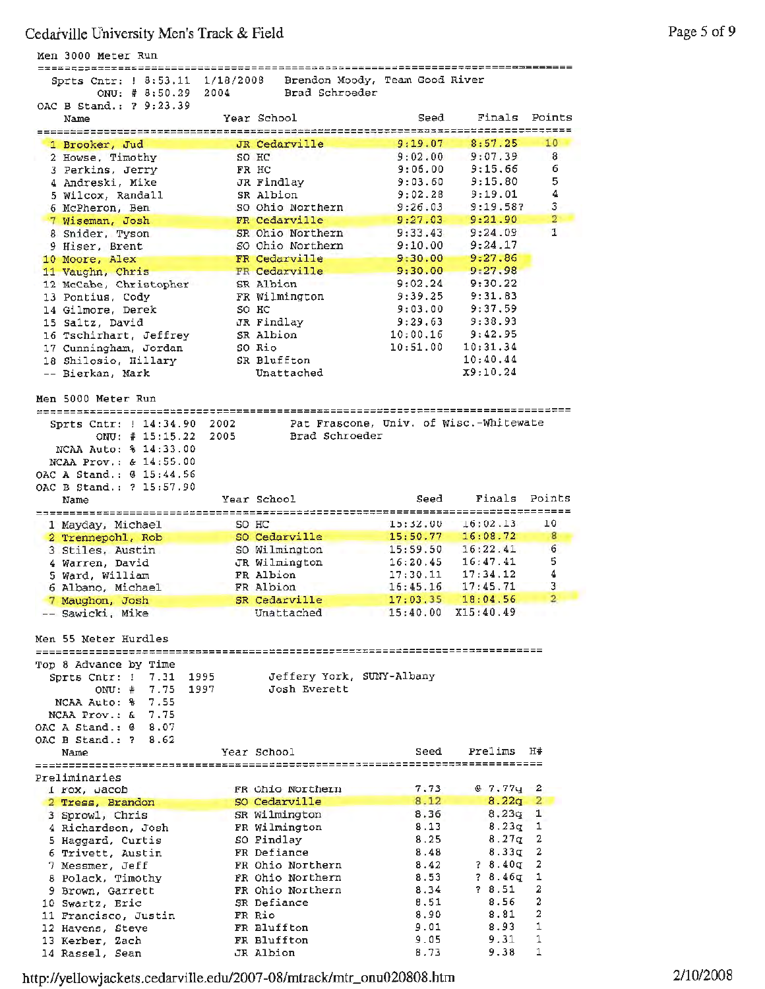| Men 3000 Meter Run                                      |                                        |                      |                                              |                     |
|---------------------------------------------------------|----------------------------------------|----------------------|----------------------------------------------|---------------------|
| ====================<br>Sprts Cntr: ! 8:53.11 1/18/2008 | Brendon Moody, Team Good River         |                      | ---- <i>-</i> ---------------------------    |                     |
| ONU: # 8:50.29<br>2004                                  | Brad Schroeder                         |                      |                                              |                     |
| OAC B Stand.: ? 9:23.39                                 |                                        |                      |                                              |                     |
| Name                                                    | Year School                            | Seed                 | Finals<br>,,,,,,,,,,,,,,,,,,,,,,,,,,,,,,,,,, | Points              |
| 1 Brooker, Jud                                          | JR Cedarville                          | 9:19.07              | 8:57.25                                      | 10                  |
| 2 Howse, Timothy                                        | SO HC                                  | 9:02.00              | 9:07.39                                      | 8                   |
| 3 Perkins, Jerry                                        | FR HC                                  | 9:06.00              | 9:15.66                                      | 6                   |
| 4 Andreski, Mike<br>5 Wilcox, Randall                   | JR Findlay<br>SR Albion                | 9:03.60<br>9:02.28   | 9:15.80<br>9:19.01                           | 5<br>4              |
| 6 McPheron, Ben                                         | SO Ohio Northern                       | 9:26.03              | 9:19.58?                                     | 3                   |
| 7 Wiseman, Josh                                         | FR Cedarville                          | 9:27.03              | 9:21.90                                      | $\overline{2}$      |
| 8 Snider, Tyson                                         | SR Ohio Northern                       | 9:33.43              | 9:24.09                                      | 1                   |
| 9 Hiser, Brent                                          | SO Ohio Northern                       | 9:10.00              | 9:24.17<br>9:27.86                           |                     |
| 10 Moore, Alex<br>11 Vaughn, Chris                      | FR Cedarville<br>FR Cedarville         | 9:30.00<br>9:30.00   | 9:27.98                                      |                     |
| 12 McCabe, Christopher                                  | SR Albion                              | 9:02.24              | 9:30.22                                      |                     |
| 13 Pontius, Cody                                        | FR Wilmington                          | 9:39.25              | 9:31.83                                      |                     |
| 14 Gilmore, Derek                                       | SO HC                                  | 9:03.00              | 9:37.59                                      |                     |
| 15 Saltz, David                                         | JR Findlay                             | 9:29.63              | 9:38.93                                      |                     |
| 16 Tschirhart, Jeffrey<br>17 Cunningham, Jordan         | SR Albion<br>SO Rio                    | 10:00.16<br>10:51.00 | 9:42.95<br>10:31.34                          |                     |
| 18 Shilosio, Hillary                                    | SR Bluffton                            |                      | 10:40.44                                     |                     |
| -- Bierkan, Mark                                        | Unattached                             |                      | X9:10.24                                     |                     |
|                                                         |                                        |                      |                                              |                     |
| Men 5000 Meter Run                                      |                                        |                      |                                              |                     |
| Sprts Cntr: 1 14:34.90<br>2002                          | Pat Frascone, Univ. of Wisc.-Whitewate |                      |                                              |                     |
| ONU: $\#$ 15:15.22<br>2005                              | Brad Schroeder                         |                      |                                              |                     |
| NCAA Auto: % 14:33.00                                   |                                        |                      |                                              |                     |
| NCAA Prov.: & 14:55.00                                  |                                        |                      |                                              |                     |
| OAC A Stand.: @ 15:44.56<br>OAC B Stand.: ? 15:57.90    |                                        |                      |                                              |                     |
| Name                                                    | Year School                            | Seed                 | Finals                                       | Points              |
|                                                         | ;;==================                   | =====                | ======================                       |                     |
| 1 Mayday, Michael<br>2 Trennepohl, Rob                  | SO HC<br>SO Cedarville                 | 15:32.00<br>15:50.77 | 16:02.13<br>16:08.72                         | 10<br>8             |
| 3 Stiles, Austin                                        | SO Wilmington                          | 15:59.50             | 16:22.41                                     | 6                   |
| 4 Warren, David                                         | JR Wilmington                          | 16:20.45             | 16:47.41                                     | 5                   |
| 5 Ward, William                                         | FR Albion                              | 17:30.11             | 17:34.12                                     | 4                   |
| 6 Albano, Michael<br>7 Maughon, Josh                    | FR Albion<br>SR Cedarville             | 16:45.16<br>17:03.35 | 17:45.71<br>18:04.56                         | 3<br>$\overline{2}$ |
| -- Sawicki, Mike                                        | Unattached                             |                      | 15:40.00 X15:40.49                           |                     |
|                                                         |                                        |                      |                                              |                     |
| Men 55 Meter Hurdles                                    |                                        |                      |                                              |                     |
|                                                         |                                        |                      |                                              |                     |
| Top 8 Advance by Time<br>Sprts Cntr: 1 7.31 1995        | Jeffery York, SUNY-Albany              |                      |                                              |                     |
| 1997<br>$ONU:$ #<br>7.75                                | Josh Everett                           |                      |                                              |                     |
| NCAA Auto: % 7.55                                       |                                        |                      |                                              |                     |
| NCAA Prov.: & 7.75                                      |                                        |                      |                                              |                     |
| OAC A Stand.: @ 8.07<br>OAC B Stand.: ?<br>8.62         |                                        |                      |                                              |                     |
| Name                                                    | Year School                            | Seed                 | Prelims                                      | H#                  |
|                                                         |                                        |                      |                                              |                     |
| Preliminaries                                           |                                        |                      |                                              |                     |
| 1 Fox, Jacob                                            | FR Ohio Northern<br>SO Cedarville      | 7.73<br>8.12         | 67.77q<br>$8.22q$ 2                          | 2                   |
| 2 Tress, Brandon<br>3 Sprowl, Chris                     | SR Wilmington                          | 8.36                 | 8.23q                                        | $\mathbf{1}$        |
| 4 Richardson, Josh                                      | FR Wilmington                          | 8.13                 | 8.23q                                        | 1                   |
| 5 Haggard, Curtis                                       | SO Findlay                             | 8.25                 | 8.27q                                        | 2                   |
| 6 Trivett, Austin                                       | FR Defiance                            | 8.48                 | 8.33q                                        | 2                   |
| 7 Messmer, Jeff<br>8 Polack, Timothy                    | FR Ohio Northern<br>FR Ohio Northern   | 8.42<br>8.53         | ? 8.40q<br>? 8.46գ                           | 2<br>1              |
| 9 Brown, Garrett                                        | FR Ohio Northern                       | 8.34                 | ? 8.51                                       | 2                   |
| 10 Swartz, Eric                                         | SR Defiance                            | 8.51                 | 8.56                                         | 2                   |
| 11 Francisco, Justin                                    | FR Rio                                 | 8.90                 | 8.81                                         | 2                   |
| 12 Hayens, Steye                                        | FR Bluffton                            | 9.01                 | 8.93                                         | 1                   |
| 13 Kerber, Zach<br>14 Rassel, Sean                      | FR Bluffton<br>JR Albion               | 9.05<br>8.73         | 9.31<br>9.38                                 | 1<br>1              |
|                                                         |                                        |                      |                                              |                     |

http://yellowjackets.cedarville.edu/2007-0 8/mtrack/mtr\_onu020808 .htm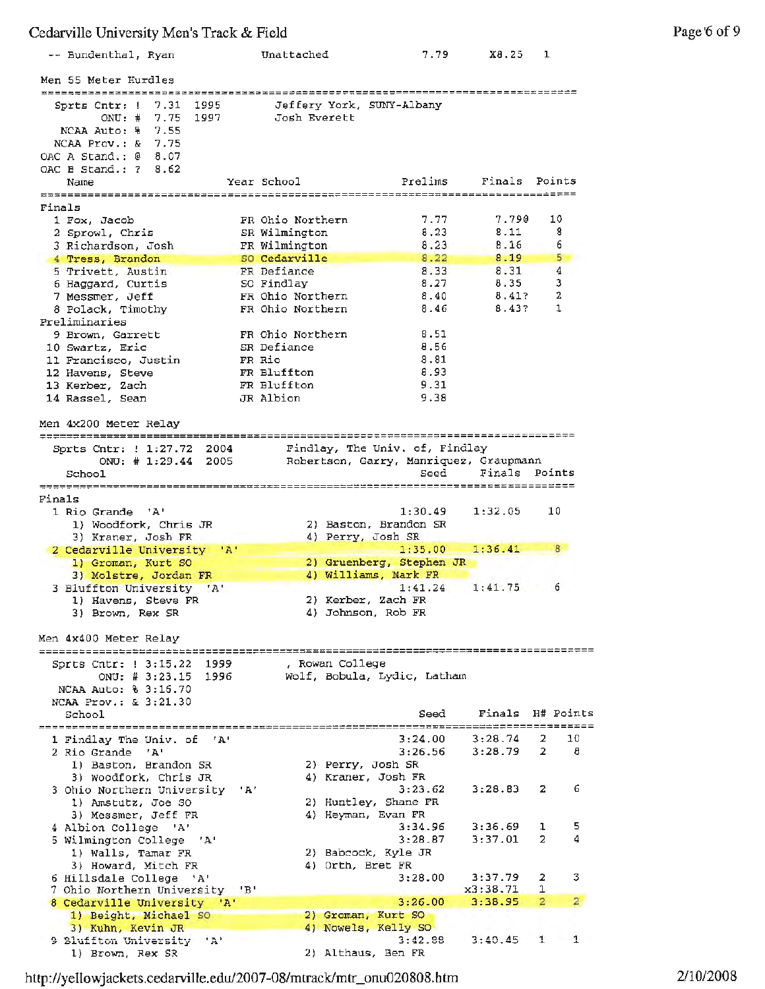| -- Bundenthal, Ryan                                                                                                                | Unattached                                 | 7.79         | X8.25          | ı                              |
|------------------------------------------------------------------------------------------------------------------------------------|--------------------------------------------|--------------|----------------|--------------------------------|
| Men 55 Meter Hurdles                                                                                                               |                                            |              |                |                                |
| 7.31<br>1995<br>Sprts Cntr: !<br>$ONU:$ #<br>7.75<br>1997<br>7.55<br>NCAA Auto: %<br>7.75<br>NCAA Prov.: &<br>OAC A Stand.: @ 8.07 | Jeffery York, SUNY-Albany<br>Josh Everett  |              |                |                                |
| OAC B Stand.: 7<br>8.62<br>Name                                                                                                    | Year School                                | Prelims      | Finals Points  |                                |
| Finals                                                                                                                             |                                            |              |                |                                |
| 1 Fox, Jacob                                                                                                                       | FR Ohio Northern                           | 7.77         | 7.790          | 10                             |
| 2 Sprowl, Chris<br>3 Richardson, Josh                                                                                              | SR Wilmington<br>FR Wilmington             | 8.23<br>8.23 | 8.11<br>8.16   | 8<br>6                         |
| 4 Tress, Brandon                                                                                                                   | SO Cedarville                              | 8.22         | 8.19           | 5                              |
| 5 Trivett, Austin                                                                                                                  | FR Defiance                                | 8.33         | 8.31           | 4                              |
| 6 Haggard, Curtis                                                                                                                  | SO Findlay                                 | 8.27         | 8.35           | з<br>2                         |
| 7 Messmer, Jeff<br>8 Polack, Timothy                                                                                               | FR Ohio Northern<br>FR Ohio Northern       | 8.40<br>8.46 | 8.41?<br>8.43? | 1                              |
| Preliminaries                                                                                                                      |                                            |              |                |                                |
| 9 Brown, Garrett                                                                                                                   | FR Ohio Northern                           | 8.51         |                |                                |
| 10 Swartz, Eric<br>11 Francisco, Justin                                                                                            | SR Defiance<br>FR Rio                      | 8.56<br>8.81 |                |                                |
| 12 Havens, Steve                                                                                                                   | FR Bluffton                                | 8.93         |                |                                |
| 13 Kerber, Zach                                                                                                                    | FR Bluffton                                | 9.31         |                |                                |
| 14 Rassel, Sean                                                                                                                    | JR Albion                                  | 9.38         |                |                                |
| Men 4x200 Meter Relay                                                                                                              |                                            |              |                |                                |
| 2004<br>Sprts Cntr: ! 1:27.72                                                                                                      | Findlay, The Univ. of, Findlay             |              |                |                                |
| ONU: $\#$ 1:29.44<br>2005                                                                                                          | Robertson, Garry, Manriquez, Graupmann     |              |                |                                |
| School                                                                                                                             |                                            | Seed         | Finals Points  |                                |
| Finals                                                                                                                             |                                            |              |                |                                |
| 1 Rio Grande 'A'                                                                                                                   |                                            | 1:30.49      | 1:32.05        | 10                             |
| 1) Woodfork, Chris JR<br>3) Kraner, Josh FR                                                                                        | 2) Baston, Brandon SR<br>4) Perry, Josh SR |              |                |                                |
| 2 Cedarville University<br>$^{\mathrm{H}}$ A <sup><math>\mathrm{H}</math></sup>                                                    |                                            | 1:35.00      | 1:36.41        | 8.                             |
| 1) Groman, Kurt SO                                                                                                                 | 2) Gruenberg, Stephen JR                   |              |                |                                |
| 3) Molstre, Jordan FR<br>3 Bluffton University 'A'                                                                                 | 4) Williams, Mark FR                       | 1:41.24      | 1:41.75        | 6                              |
| 1) Havens, Steve FR                                                                                                                | 2) Kerber, Zach FR                         |              |                |                                |
| 3) Brown, Rex SR                                                                                                                   | 4) Johnson, Rob FR                         |              |                |                                |
| Men 4x400 Meter Relay                                                                                                              |                                            |              |                |                                |
| Sprts Cntr: ! 3:15.22<br>1999                                                                                                      | , Rowan College                            |              |                |                                |
| ONU: # 3:23.15 1996<br>NCAA Auto: % 3:16.70                                                                                        | Wolf, Bobula, Lydic, Latham                |              |                |                                |
| NCAA Prov.: & 3:21.30<br>School                                                                                                    |                                            | Seed         |                | Finals H# Points               |
| 1 Findlay The Univ. of<br>$^{\prime}$ A $^{\prime}$                                                                                |                                            | 3:24.00      | .<br>3:28.74   | 10<br>2                        |
| 2 Rio Grande 'A'                                                                                                                   |                                            | 3:26.56      | 3:28.79        | $\overline{a}$<br>a            |
| 1) Baston, Brandon SR                                                                                                              | 2) Perry, Josh SR                          |              |                |                                |
| 3) Woodfork, Chris JR                                                                                                              | 4) Kraner, Josh FR                         |              |                |                                |
| 3 Ohio Northern University 'A'<br>1) Amstutz, Joe SO                                                                               | 2) Huntley, Shane FR                       | 3:23.62      | 3:28.83        | 6<br>2                         |
| 3) Messmer, Jeff FR                                                                                                                | 4) Heyman, Evan FR                         |              |                |                                |
| 4 Albion College 'A'                                                                                                               |                                            | 3:34.96      | 3:36.69        | 5<br>1                         |
| 5 Wilmington College 'A'<br>1) Walls, Tamar FR                                                                                     | 2) Babcock, Kyle JR                        | 3:28.87      | 3:37.01        | 4<br>2                         |
| 3) Howard, Mitch FR                                                                                                                | 4) Orth, Bret FR                           |              |                |                                |
| 6 Hillsdale College 'A'                                                                                                            |                                            | 3:28.00      | 3:37.79        | 2<br>з                         |
| 7 Ohio Northern University 'B'                                                                                                     |                                            |              | x3:38.71       | ı<br>$\overline{2}$            |
| 8 Cedarville University<br>$^{\prime}$ A $^{\prime}$<br>1) Beight, Michael SO                                                      | 2) Groman, Kurt SO                         | 3:26.00      | 3:38.95        | $\overline{2}$                 |
| 3) Kuhn, Kevin JR                                                                                                                  | 4) Nowels, Kelly SO                        |              |                |                                |
| 9 Bluffton University 'A'                                                                                                          |                                            | 3:42.88      | 3:40.45        | $\overline{1}$<br>$\mathbf{1}$ |
| 1) Brown, Rex SR                                                                                                                   | 2) Althaus, Ben FR                         |              |                |                                |

http://yellowjackets.cedarville.edu/2007-08/mtrack/mtr\_onu020 808 .htln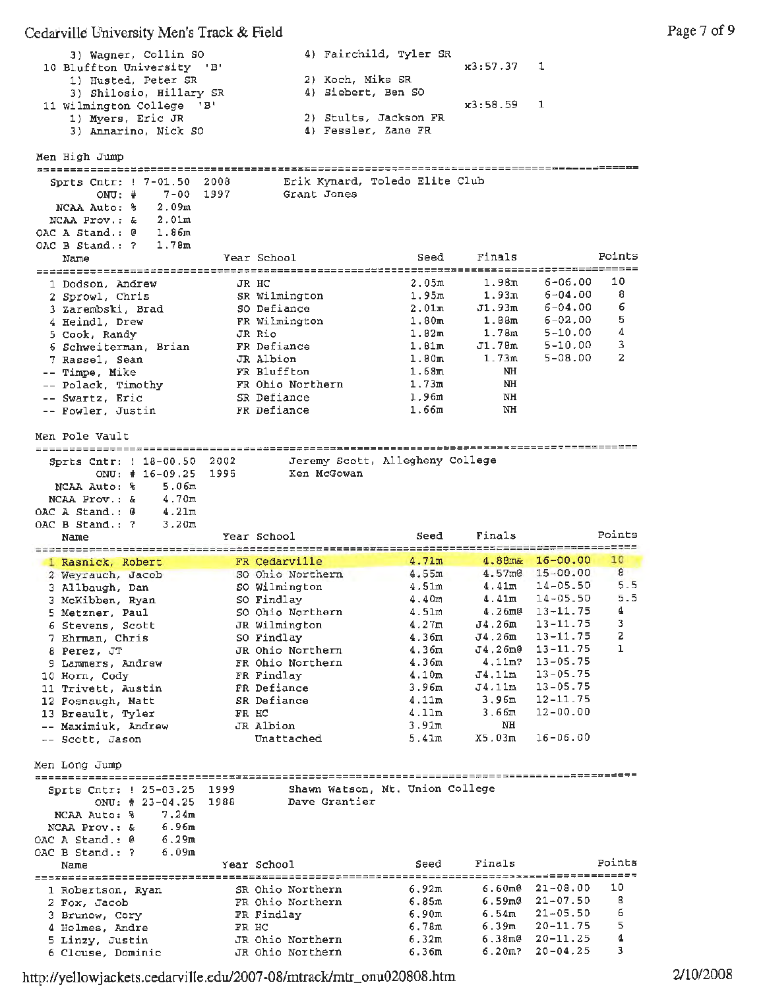| 3) Wagner, Collin SO<br>10 Bluffton University 'B' | 4) Fairchild, Tyler SR<br>$x3:57.37 \quad 1$ |  |
|----------------------------------------------------|----------------------------------------------|--|
| 1) Husted, Peter SR                                | 2) Koch, Mike SR                             |  |
| 3) Shilosio, Hillary SR                            | 4) Siebert, Ben SO                           |  |
| 11 Wilmington College 'B'                          | $x3:58.59$ 1                                 |  |
| 1) Myers, Eric JR                                  | 2) Stults, Jackson FR                        |  |
| 3) Annarino, Nick SO                               | 4) Fessler, Zane FR                          |  |

Men High Jump

| Sprts Cntr: ! 7-01.50             | 2008  |                  | Erik Kynard, Toledo Elite Club  |                   |                              |                |
|-----------------------------------|-------|------------------|---------------------------------|-------------------|------------------------------|----------------|
| $7 - 00$<br>$ONU:$ #              | 1997  | Grant Jones      |                                 |                   |                              |                |
| 2.09 <sub>m</sub><br>NCAA Auto: % |       |                  |                                 |                   |                              |                |
| 2.01m<br>NCAA Prov.: &            |       |                  |                                 |                   |                              |                |
| 1.86m<br>OAC A Stand.: 0          |       |                  |                                 |                   |                              |                |
| 1.78m<br>OAC B Stand.: ?          |       |                  |                                 |                   |                              |                |
| Name                              |       | Year School      | Seed                            | Finals            |                              | Points         |
|                                   |       |                  |                                 |                   |                              |                |
|                                   |       | JR HC            | 2.05m                           | 1.98m             | $6 - 06.00$                  | 10             |
| 1 Dodson, Andrew                  |       | SR Wilmington    | 1.95m                           | 1.93m             | $6 - 04.00$                  | 8              |
| 2 Sprowl, Chris                   |       |                  |                                 | J1.93m            | $6 - 04.00$                  | 6              |
| 3 Zarembski, Brad                 |       | SO Defiance      | 2.01m                           |                   |                              | 5              |
| 4 Heindl, Drew                    |       | FR Wilmington    | 1.80 <sub>m</sub>               | 1.88 <sub>m</sub> | $6 - 02.00$                  | 4              |
| 5 Cook, Randy                     |       | JR Rio           | 1.82m                           | 1.78m             | $5 - 10.00$                  |                |
| 6 Schweiterman, Brian             |       | FR Defiance      | 1.81 <sub>m</sub>               | J1.78m            | $5 - 10.00$                  | 3              |
| 7 Rassel, Sean                    |       | JR Albion        | 1.80 <sub>m</sub>               | 1.73m             | $5 - 08.00$                  | $\overline{a}$ |
| -- Timpe, Mike                    |       | FR Bluffton      | 1.68m                           | NH                |                              |                |
| -- Polack, Timothy                |       | FR Ohio Northern | 1.73m                           | NH                |                              |                |
| -- Swartz, Eric                   |       | SR Defiance      | 1.96m                           | NH                |                              |                |
| -- Fowler, Justin                 |       | FR Defiance      | 1.66m                           | NH                |                              |                |
|                                   |       |                  |                                 |                   |                              |                |
| Men Pole Vault                    |       |                  |                                 |                   |                              |                |
|                                   |       |                  |                                 |                   |                              |                |
| Sprts Cntr: 1 18-00.50 2002       |       |                  | Jeremy Scott, Allegheny College |                   |                              |                |
| ONU: $\#$ 16-09.25                | 1995  | Ken McGowan      |                                 |                   |                              |                |
| 5.06m<br>NCAA Auto: %             |       |                  |                                 |                   |                              |                |
| 4.70m<br>NCAA Prov.: &            |       |                  |                                 |                   |                              |                |
| 4.21m<br>OAC A Stand.: @          |       |                  |                                 |                   |                              |                |
|                                   |       |                  |                                 |                   |                              |                |
| 3.20m<br>OAC B Stand.: ?          |       |                  | Seed                            | Finals            |                              | Points         |
| Name                              |       | Year School      |                                 |                   |                              |                |
|                                   |       |                  |                                 |                   |                              |                |
|                                   |       |                  |                                 |                   |                              |                |
| 1 Rasnick, Robert                 |       | FR Cedarville    | 4.71m                           |                   | $4.88m\& 16-00.00$           | 10             |
| 2 Weyrauch, Jacob                 |       | SO Ohio Northern | 4.55m                           |                   | $4.57m@ 15-00.00$            | 8              |
| 3 Allbaugh, Dan                   |       | SO Wilmington    | 4.51m                           | 4.41m             | $14 - 05.50$                 | 5.5            |
| 3 McKibben, Ryan                  |       | SO Findlay       | 4.40m                           | 4.41m             | $14 - 05.50$                 | 5.5            |
| 5 Metzner, Paul                   |       | SO Ohio Northern | 4.51m                           | $4.26$ m $@$      | $13 - 11.75$                 | 4              |
| 6 Stevens, Scott                  |       | JR Wilmington    | 4.27m                           | J4.26m            | 13-11.75                     | 3              |
| 7 Ehrman, Chris                   |       | SO Findlay       | 4.36m                           | J4.26m            | 13-11.75                     | 2              |
| 8 Perez, JT                       |       | JR Ohio Northern | 4.36m                           | J4.26m0           | 13-11.75                     | 1              |
| 9 Lammers, Andrew                 |       | FR Ohio Northern | 4.36m                           | 4.11m?            | 13-05.75                     |                |
| 10 Horn, Cody                     |       | FR Findlay       | 4.10m                           | J4,11m            | $13 - 05.75$                 |                |
|                                   |       | FR Defiance      | 3.96m                           | J4.11m            | $13 - 05.75$                 |                |
| 11 Trivett, Austin                |       | SR Defiance      | 4.11m                           | 3,96m             | $12 - 11.75$                 |                |
| 12 Fosnaugh, Matt                 | FR HC |                  | 4.11m                           | 3.66m             | $12 - 00.00$                 |                |
| 13 Breault, Tyler                 |       |                  |                                 |                   |                              |                |
| -- Maximiuk, Andrew               |       | JR Albion        | 3.91m                           | NH                |                              |                |
| -- Scott, Jason                   |       | Unattached       | 5.41m                           | X5.03m            | $16 - 06.00$                 |                |
|                                   |       |                  |                                 |                   |                              |                |
| Men Long Jump                     |       |                  |                                 |                   |                              |                |
|                                   |       |                  |                                 |                   |                              |                |
| Sprts Cntr: ! 25-03.25 1999       |       |                  | Shawn Watson, Mt. Union College |                   |                              |                |
| ONU: $\#$ 23-04.25                | 1988  | Dave Grantier    |                                 |                   |                              |                |
| 7,24m<br>NCAA Auto: %             |       |                  |                                 |                   |                              |                |
| 6.96m<br>NCAA Prov.: &            |       |                  |                                 |                   |                              |                |
| OAC A Stand.: @<br>6.29m          |       |                  |                                 |                   |                              |                |
| 6.09m<br>OAC B Stand.: ?          |       |                  |                                 |                   |                              |                |
| Name                              |       | Year School      | Seed                            | Finals            |                              | Points         |
|                                   |       |                  |                                 |                   |                              |                |
| 1 Robertson, Ryan                 |       | SR Ohio Northern | 6.92m                           | 6.60me            | $21 - 08.00$                 | 10             |
| 2 Fox, Jacob                      |       | FR Ohio Northern | 6.85m                           |                   | $6.59m@21-07.50$             | 8              |
| 3 Brunow, Cory                    |       | FR Findlay       | 6.90m                           | 6.54m             | $21 - 05.50$                 | 6              |
| 4 Holmes, Andre                   | FR HC |                  | 6.78m                           | 6.39m             | 20-11.75                     | 5              |
| 5 Linzy, Justin                   |       | JR Ohio Northern | 6.32m                           | 6.38me<br>6.20m7  | $20 - 11.25$<br>$20 - 04.25$ | 4<br>з         |

http://yellowj ackets .cedarvi 11e .edu/2007-08/mtrack/mtr\_ onu020808 .htm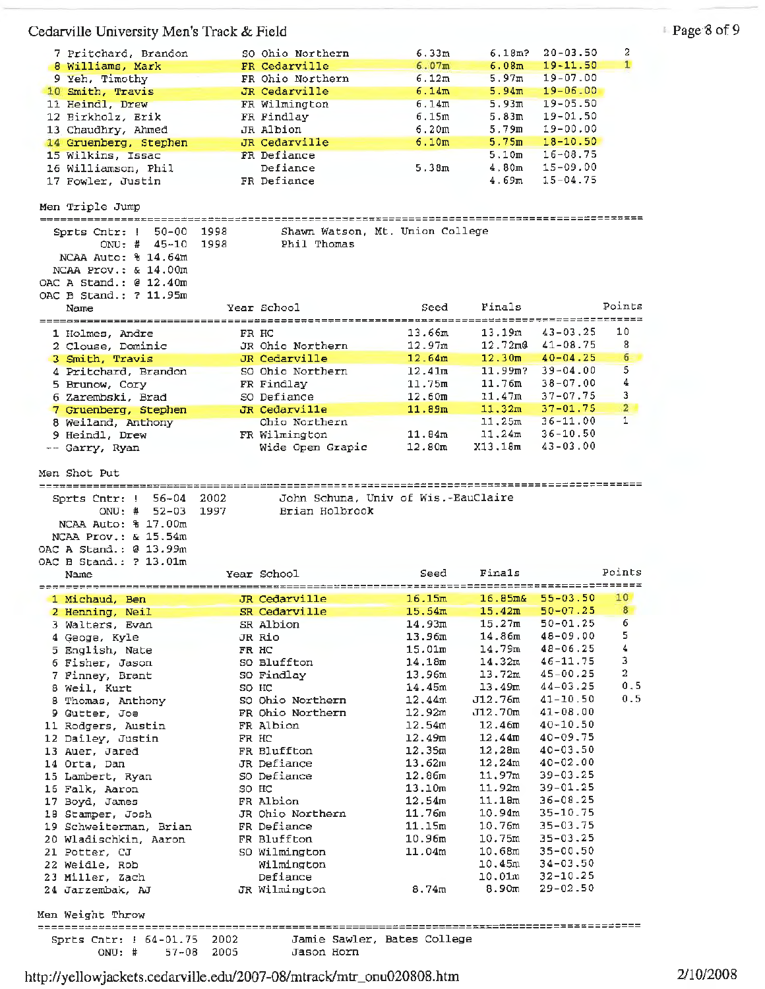| 7 Pritchard, Brandon       |       | SO Ohio Northern   | 6.33m                               | 6.18m?            | $20 - 03.50$                 | 2                       |
|----------------------------|-------|--------------------|-------------------------------------|-------------------|------------------------------|-------------------------|
| 8 Williams, Mark           |       | FR Cedarville      | 6.07m                               | 6.08m             | $19 - 11.50$                 | $\mathbf{1}$            |
| 9 Yeh, Timothy             |       | FR Ohio Northern   | 6.12m                               | 5.97m             | $19 - 07.00$                 |                         |
| 10 Smith, Travis           |       | JR Cedarville      | 6.14m                               | 5.94m             | $19 - 06.00$                 |                         |
| 11 Heindl, Drew            |       | FR Wilmington      | 6.14m                               | 5.93m             | $19 - 05.50$                 |                         |
| 12 Birkholz, Erik          |       | FR Findlay         | 6.15m                               | 5.83m             | 19-01.50                     |                         |
| 13 Chaudhry, Ahmed         |       | JR Albion          | 6.20m                               | 5.79m             | 19-00.00                     |                         |
| 14 Gruenberg, Stephen      |       | JR Cedarville      | 6.10m                               | 5.75 <sub>m</sub> | $18 - 10.50$                 |                         |
| 15 Wilkins, Issac          |       | FR Defiance        |                                     | 5.10m             | $16 - 08.75$                 |                         |
| 16 Williamson, Phil        |       | Defiance           | 5.38m                               | 4.80m             | 15-09.00                     |                         |
| 17 Fowler, Justin          |       | FR Defiance        |                                     | 4.69m             | $15 - 04.75$                 |                         |
|                            |       |                    |                                     |                   |                              |                         |
| Men Triple Jump            |       |                    |                                     |                   |                              |                         |
| ====================       |       |                    |                                     |                   |                              |                         |
| $50 - 00$<br>Sprts Cntr: ! | 1998  |                    | Shawn Watson, Mt. Union College     |                   |                              |                         |
| ONU: $\frac{1}{4}$ 45-10   | 1998  | Phil Thomas        |                                     |                   |                              |                         |
| NCAA Auto: % 14.64m        |       |                    |                                     |                   |                              |                         |
| NCAA Prov.: $\& 14.00m$    |       |                    |                                     |                   |                              |                         |
|                            |       |                    |                                     |                   |                              |                         |
| OAC A Stand.: $@12.40m$    |       |                    |                                     |                   |                              |                         |
| OAC B Stand.: ? 11.95m     |       |                    |                                     | Finals            |                              | Points                  |
| Name                       |       | Year School        | Seed<br>===========                 |                   | ----------                   | $=$ = = = = = = = = $=$ |
| =========================  |       | ================== | 13.66m                              | 13.19m            | 43-03.25                     | 10                      |
| 1 Holmes, Andre            |       | FR HC              |                                     | $12.72 \text{m}0$ | $41 - 08.75$                 | 8                       |
| 2 Clouse, Dominic          |       | JR Ohio Northern   | 12.97m                              |                   |                              |                         |
| 3 Smith, Travis            |       | JR Cedarville      | 12.64m                              | 12.30m            | $40 - 04.25$                 | 6                       |
| 4 Pritchard, Brandon       |       | SO Ohio Northern   | 12.41m                              | $11.99m$ ?        | $39 - 04 - 00$               | 5                       |
| 5 Brunow, Cory             |       | FR Findlay         | 11.75m                              | 11.76m            | $38 - 07,00$                 | 4                       |
| 6 Zarembski, Brad          |       | SO Defiance        | 12.60m                              | 11.47m            | $37 - 07.75$                 | 3                       |
| 7 Gruenberg, Stephen       |       | JR Cedarville      | 11.89m                              | 11.32m            | $37 - 01.75$                 | $\overline{2}$          |
| 8 Weiland, Anthony         |       | Ohio Northern      |                                     | 11.25m            | $36 - 11.00$                 | $\mathbf{1}$            |
| 9 Heindl, Drew             |       | FR Wilmington      | 11.84m                              | 11,24m            | $36 - 10.50$                 |                         |
| -- Garry, Ryan             |       | Wide Open Grapic   | 12.80m                              | X13.18m           | $43 - 03.00$                 |                         |
|                            |       |                    |                                     |                   |                              |                         |
| Men Shot Put               |       |                    |                                     |                   |                              |                         |
|                            |       |                    |                                     |                   |                              |                         |
| $56 - 04$<br>Sprts Cntr: ! | 2002  |                    | John Schuna, Univ of Wis.-EauClaire |                   |                              |                         |
| $ONU:$ #<br>52-03          | 1997  | Brian Holbrook     |                                     |                   |                              |                         |
| NCAA Auto: % 17.00m        |       |                    |                                     |                   |                              |                         |
| NCAA Prov.: & 15.54m       |       |                    |                                     |                   |                              |                         |
| OAC A Stand.: 0 13.99m     |       |                    |                                     |                   |                              |                         |
| OAC B Stand.: ? 13.01m     |       |                    |                                     |                   |                              |                         |
| Name                       |       | Year School        | Seed                                | Finals            |                              | Points                  |
|                            |       |                    |                                     |                   |                              | =========               |
| 1 Michaud, Ben             |       | JR Cedarville      | 16.15m                              | 16.85m&           | $55 - 03.50$                 | 10                      |
| 2 Henning, Neil            |       | SR Cedarville      | 15.54m                              | 15.42m            | $50 - 07.25$                 | 8                       |
| 3 Walters, Evan            |       | SR Albion          | 14.93m                              | 15.27m            | 50-01.25                     | 6                       |
| 4 Geoge, Kyle              |       | JR Rio             | 13.96m                              | 14.86m            | 48-09.00                     | 5                       |
| 5 English, Nate            |       | FR HC              | 15.01 <sub>m</sub>                  | 14.79m            | $48 - 06.25$                 | 4                       |
| 6 Fisher, Jason            |       | SO Bluffton        | 14.18m                              | 14.32m            | 46-11.75                     | 3                       |
| 7 Finney, Brant            |       | SO Findlay         | 13.96m                              | 13.72m            | 45-00.25                     | 2                       |
| 8 Weil, Kurt               |       | SO HC              | 14.45m                              | 13.49m            | $44 - 03.25$                 | 0.5                     |
| 8 Thomas, Anthony          |       | SO Ohio Northern   | 12.44m                              | J12.76m           | 41-10.50                     | 0.5                     |
| 9 Gutter, Joe              |       | FR Ohio Northern   | 12.92m                              | J12.70m           | $41 - 08.00$                 |                         |
| 11 Rodgers, Austin         |       | FR Albion          | 12.54m                              | 12.46m            | 40-10.50                     |                         |
| 12 Dailey, Justin          | FR HC |                    | 12.49 <sub>m</sub>                  | 12.44m            | $40 - 09.75$                 |                         |
| 13 Auer, Jared             |       | FR Bluffton        | 12.35m                              | 12,28m            | $40 - 03.50$                 |                         |
| 14 Orta, Dan               |       | JR Defiance        | 13.62m                              | 12,24m            | $40 - 02 - 00$               |                         |
| 15 Lambert, Ryan           |       | SO Defiance        | 12.86m                              | 11.97m            | $39 - 03 - 25$               |                         |
| 16 Falk, Aaron             |       | SO HC              | 13.10m                              | 11.92m            | $39 - 01.25$                 |                         |
| 17 Boyd, James             |       | FR Albion          | 12.54m                              | 11.18m            | 36-08.25                     |                         |
| 18 Stamper, Josh           |       | JR Ohio Northern   | 11.76m                              | 10.94m            | 35-10.75                     |                         |
| 19 Schweiterman, Brian     |       | FR Defiance        | 11.15m                              | 10,76m            | $35 - 03.75$                 |                         |
|                            |       | FR Bluffton        | 10.96m                              | 10.75m            | $35 - 03.25$                 |                         |
| 20 Wladischkin, Aaron      |       |                    | 11.04m                              | 10.68m            | $35 - 00.50$                 |                         |
| 21 Potter, CJ              |       | SO Wilmington      |                                     |                   | $34 - 03.50$                 |                         |
| 22 Weidle, Rob             |       | Wilmington         |                                     | 10.45m            |                              |                         |
| 23 Miller, Zach            |       | Defiance           |                                     | 10.01m            | $32 - 10.25$<br>$29 - 02.50$ |                         |
| 24 Jarzembak, AJ           |       | JR Wilmington      | 8.74m                               | 8.90m             |                              |                         |
|                            |       |                    |                                     |                   |                              |                         |
| Men Weight Throw           |       |                    |                                     |                   |                              |                         |
| Sprts Cntr: ! 64-01.75     | 2002  |                    | Jamie Sawler, Bates College         |                   |                              |                         |
|                            | 2005  |                    |                                     |                   |                              |                         |
| $ONU:$ #<br>$57 - 08$      |       | Jason Horn         |                                     |                   |                              |                         |

http://yellowjackets.cedarville.edu/2007-08/mtrack/rntr\_onu020808.htm